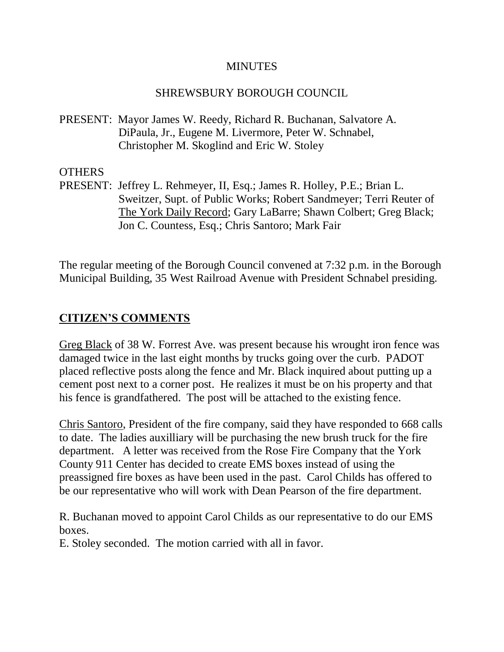#### **MINUTES**

### SHREWSBURY BOROUGH COUNCIL

PRESENT: Mayor James W. Reedy, Richard R. Buchanan, Salvatore A. DiPaula, Jr., Eugene M. Livermore, Peter W. Schnabel, Christopher M. Skoglind and Eric W. Stoley

### **OTHERS**

PRESENT: Jeffrey L. Rehmeyer, II, Esq.; James R. Holley, P.E.; Brian L. Sweitzer, Supt. of Public Works; Robert Sandmeyer; Terri Reuter of The York Daily Record; Gary LaBarre; Shawn Colbert; Greg Black; Jon C. Countess, Esq.; Chris Santoro; Mark Fair

The regular meeting of the Borough Council convened at 7:32 p.m. in the Borough Municipal Building, 35 West Railroad Avenue with President Schnabel presiding.

## **CITIZEN'S COMMENTS**

Greg Black of 38 W. Forrest Ave. was present because his wrought iron fence was damaged twice in the last eight months by trucks going over the curb. PADOT placed reflective posts along the fence and Mr. Black inquired about putting up a cement post next to a corner post. He realizes it must be on his property and that his fence is grandfathered. The post will be attached to the existing fence.

Chris Santoro, President of the fire company, said they have responded to 668 calls to date. The ladies auxilliary will be purchasing the new brush truck for the fire department. A letter was received from the Rose Fire Company that the York County 911 Center has decided to create EMS boxes instead of using the preassigned fire boxes as have been used in the past. Carol Childs has offered to be our representative who will work with Dean Pearson of the fire department.

R. Buchanan moved to appoint Carol Childs as our representative to do our EMS boxes.

E. Stoley seconded. The motion carried with all in favor.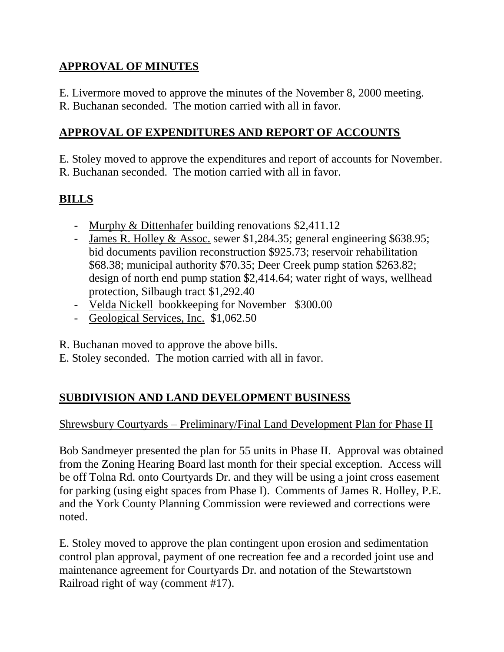# **APPROVAL OF MINUTES**

E. Livermore moved to approve the minutes of the November 8, 2000 meeting.

R. Buchanan seconded. The motion carried with all in favor.

# **APPROVAL OF EXPENDITURES AND REPORT OF ACCOUNTS**

E. Stoley moved to approve the expenditures and report of accounts for November. R. Buchanan seconded. The motion carried with all in favor.

# **BILLS**

- Murphy & Dittenhafer building renovations \$2,411.12
- James R. Holley & Assoc. sewer \$1,284.35; general engineering \$638.95; bid documents pavilion reconstruction \$925.73; reservoir rehabilitation \$68.38; municipal authority \$70.35; Deer Creek pump station \$263.82; design of north end pump station \$2,414.64; water right of ways, wellhead protection, Silbaugh tract \$1,292.40
- Velda Nickell bookkeeping for November \$300.00
- Geological Services, Inc. \$1,062.50

R. Buchanan moved to approve the above bills.

E. Stoley seconded. The motion carried with all in favor.

# **SUBDIVISION AND LAND DEVELOPMENT BUSINESS**

# Shrewsbury Courtyards – Preliminary/Final Land Development Plan for Phase II

Bob Sandmeyer presented the plan for 55 units in Phase II. Approval was obtained from the Zoning Hearing Board last month for their special exception. Access will be off Tolna Rd. onto Courtyards Dr. and they will be using a joint cross easement for parking (using eight spaces from Phase I). Comments of James R. Holley, P.E. and the York County Planning Commission were reviewed and corrections were noted.

E. Stoley moved to approve the plan contingent upon erosion and sedimentation control plan approval, payment of one recreation fee and a recorded joint use and maintenance agreement for Courtyards Dr. and notation of the Stewartstown Railroad right of way (comment #17).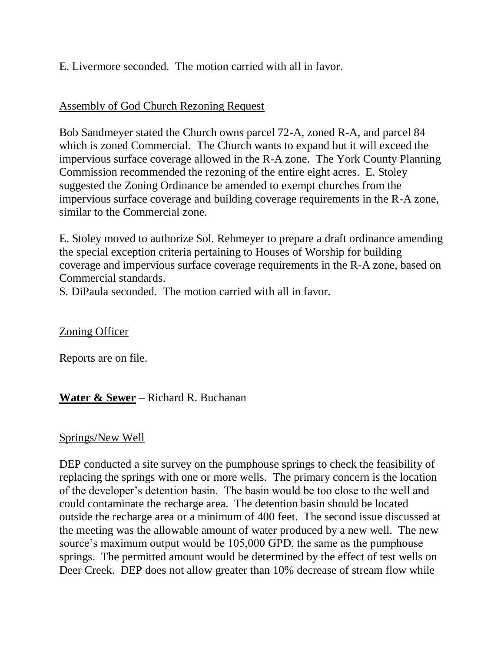E. Livermore seconded. The motion carried with all in favor.

### Assembly of God Church Rezoning Request

Bob Sandmeyer stated the Church owns parcel 72-A, zoned R-A, and parcel 84 which is zoned Commercial. The Church wants to expand but it will exceed the impervious surface coverage allowed in the R-A zone. The York County Planning Commission recommended the rezoning of the entire eight acres. E. Stoley suggested the Zoning Ordinance be amended to exempt churches from the impervious surface coverage and building coverage requirements in the R-A zone, similar to the Commercial zone.

E. Stoley moved to authorize Sol. Rehmeyer to prepare a draft ordinance amending the special exception criteria pertaining to Houses of Worship for building coverage and impervious surface coverage requirements in the R-A zone, based on Commercial standards.

S. DiPaula seconded. The motion carried with all in favor.

### Zoning Officer

Reports are on file.

## **Water & Sewer** – Richard R. Buchanan

### Springs/New Well

DEP conducted a site survey on the pumphouse springs to check the feasibility of replacing the springs with one or more wells. The primary concern is the location of the developer's detention basin. The basin would be too close to the well and could contaminate the recharge area. The detention basin should be located outside the recharge area or a minimum of 400 feet. The second issue discussed at the meeting was the allowable amount of water produced by a new well. The new source's maximum output would be 105,000 GPD, the same as the pumphouse springs. The permitted amount would be determined by the effect of test wells on Deer Creek. DEP does not allow greater than 10% decrease of stream flow while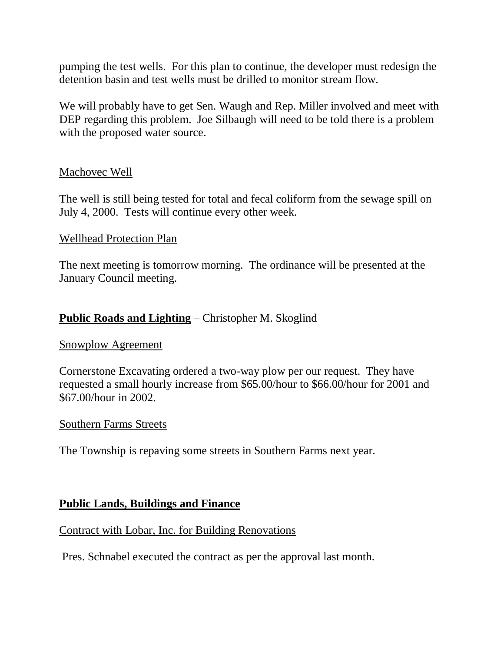pumping the test wells. For this plan to continue, the developer must redesign the detention basin and test wells must be drilled to monitor stream flow.

We will probably have to get Sen. Waugh and Rep. Miller involved and meet with DEP regarding this problem. Joe Silbaugh will need to be told there is a problem with the proposed water source.

#### Machovec Well

The well is still being tested for total and fecal coliform from the sewage spill on July 4, 2000. Tests will continue every other week.

#### Wellhead Protection Plan

The next meeting is tomorrow morning. The ordinance will be presented at the January Council meeting.

### **Public Roads and Lighting** – Christopher M. Skoglind

#### Snowplow Agreement

Cornerstone Excavating ordered a two-way plow per our request. They have requested a small hourly increase from \$65.00/hour to \$66.00/hour for 2001 and \$67.00/hour in 2002.

#### Southern Farms Streets

The Township is repaving some streets in Southern Farms next year.

#### **Public Lands, Buildings and Finance**

#### Contract with Lobar, Inc. for Building Renovations

Pres. Schnabel executed the contract as per the approval last month.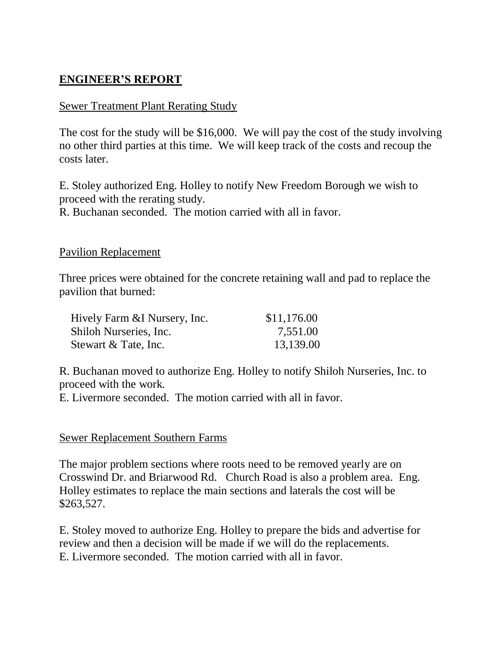## **ENGINEER'S REPORT**

#### Sewer Treatment Plant Rerating Study

The cost for the study will be \$16,000. We will pay the cost of the study involving no other third parties at this time. We will keep track of the costs and recoup the costs later.

E. Stoley authorized Eng. Holley to notify New Freedom Borough we wish to proceed with the rerating study. R. Buchanan seconded. The motion carried with all in favor.

#### Pavilion Replacement

Three prices were obtained for the concrete retaining wall and pad to replace the pavilion that burned:

| Hively Farm & I Nursery, Inc. | \$11,176.00 |
|-------------------------------|-------------|
| Shiloh Nurseries, Inc.        | 7,551.00    |
| Stewart & Tate, Inc.          | 13,139.00   |

R. Buchanan moved to authorize Eng. Holley to notify Shiloh Nurseries, Inc. to proceed with the work.

E. Livermore seconded. The motion carried with all in favor.

#### Sewer Replacement Southern Farms

The major problem sections where roots need to be removed yearly are on Crosswind Dr. and Briarwood Rd. Church Road is also a problem area. Eng. Holley estimates to replace the main sections and laterals the cost will be \$263,527.

E. Stoley moved to authorize Eng. Holley to prepare the bids and advertise for review and then a decision will be made if we will do the replacements. E. Livermore seconded. The motion carried with all in favor.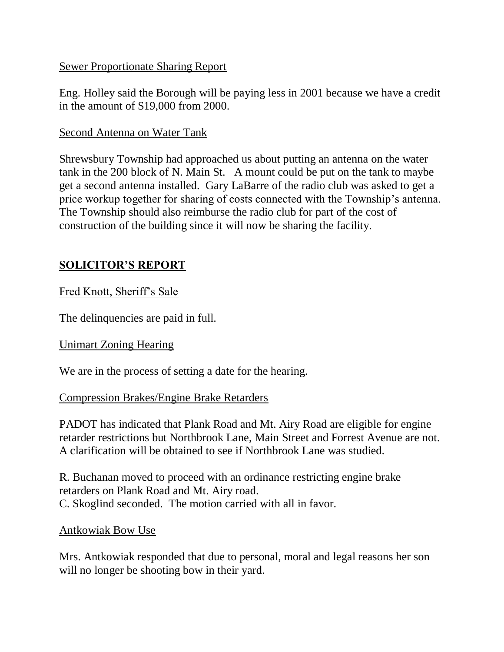### Sewer Proportionate Sharing Report

Eng. Holley said the Borough will be paying less in 2001 because we have a credit in the amount of \$19,000 from 2000.

### Second Antenna on Water Tank

Shrewsbury Township had approached us about putting an antenna on the water tank in the 200 block of N. Main St. A mount could be put on the tank to maybe get a second antenna installed. Gary LaBarre of the radio club was asked to get a price workup together for sharing of costs connected with the Township's antenna. The Township should also reimburse the radio club for part of the cost of construction of the building since it will now be sharing the facility.

## **SOLICITOR'S REPORT**

### Fred Knott, Sheriff's Sale

The delinquencies are paid in full.

### Unimart Zoning Hearing

We are in the process of setting a date for the hearing.

### Compression Brakes/Engine Brake Retarders

PADOT has indicated that Plank Road and Mt. Airy Road are eligible for engine retarder restrictions but Northbrook Lane, Main Street and Forrest Avenue are not. A clarification will be obtained to see if Northbrook Lane was studied.

R. Buchanan moved to proceed with an ordinance restricting engine brake retarders on Plank Road and Mt. Airy road. C. Skoglind seconded. The motion carried with all in favor.

### Antkowiak Bow Use

Mrs. Antkowiak responded that due to personal, moral and legal reasons her son will no longer be shooting bow in their yard.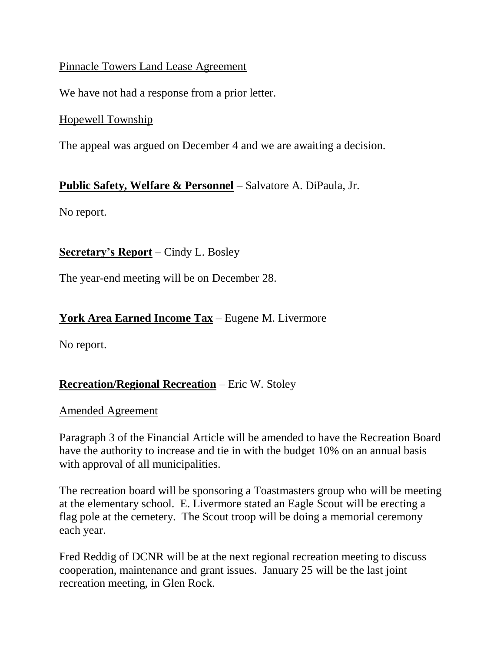### Pinnacle Towers Land Lease Agreement

We have not had a response from a prior letter.

### Hopewell Township

The appeal was argued on December 4 and we are awaiting a decision.

### **Public Safety, Welfare & Personnel** – Salvatore A. DiPaula, Jr.

No report.

### **Secretary's Report** – Cindy L. Bosley

The year-end meeting will be on December 28.

## **York Area Earned Income Tax** – Eugene M. Livermore

No report.

## **Recreation/Regional Recreation** – Eric W. Stoley

### Amended Agreement

Paragraph 3 of the Financial Article will be amended to have the Recreation Board have the authority to increase and tie in with the budget 10% on an annual basis with approval of all municipalities.

The recreation board will be sponsoring a Toastmasters group who will be meeting at the elementary school. E. Livermore stated an Eagle Scout will be erecting a flag pole at the cemetery. The Scout troop will be doing a memorial ceremony each year.

Fred Reddig of DCNR will be at the next regional recreation meeting to discuss cooperation, maintenance and grant issues. January 25 will be the last joint recreation meeting, in Glen Rock.